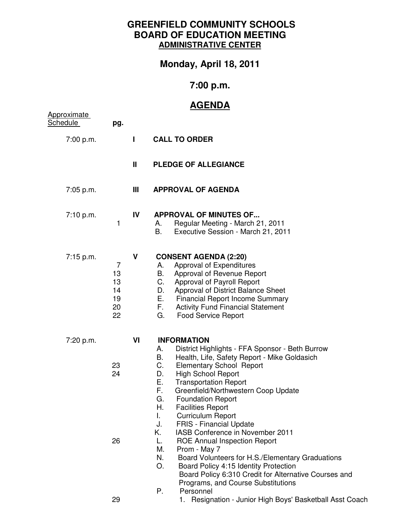## **GREENFIELD COMMUNITY SCHOOLS BOARD OF EDUCATION MEETING ADMINISTRATIVE CENTER**

**Monday, April 18, 2011** 

## **7:00 p.m.**

## **AGENDA**

| <u>Approximate</u><br>Schedule | pg.                                                |    |                                                                                                                                                                                                                                                                                                                                                                                                                                                                                                                                                                                                                                                                                                                               |
|--------------------------------|----------------------------------------------------|----|-------------------------------------------------------------------------------------------------------------------------------------------------------------------------------------------------------------------------------------------------------------------------------------------------------------------------------------------------------------------------------------------------------------------------------------------------------------------------------------------------------------------------------------------------------------------------------------------------------------------------------------------------------------------------------------------------------------------------------|
| 7:00 p.m.                      |                                                    | Н  | <b>CALL TO ORDER</b>                                                                                                                                                                                                                                                                                                                                                                                                                                                                                                                                                                                                                                                                                                          |
|                                |                                                    | Ш  | <b>PLEDGE OF ALLEGIANCE</b>                                                                                                                                                                                                                                                                                                                                                                                                                                                                                                                                                                                                                                                                                                   |
| 7:05 p.m.                      |                                                    | Ш  | <b>APPROVAL OF AGENDA</b>                                                                                                                                                                                                                                                                                                                                                                                                                                                                                                                                                                                                                                                                                                     |
| 7:10 p.m.                      | 1                                                  | IV | <b>APPROVAL OF MINUTES OF</b><br>Regular Meeting - March 21, 2011<br>А.<br>В.<br>Executive Session - March 21, 2011                                                                                                                                                                                                                                                                                                                                                                                                                                                                                                                                                                                                           |
| 7:15 p.m.                      | $\overline{7}$<br>13<br>13<br>14<br>19<br>20<br>22 | V  | <b>CONSENT AGENDA (2:20)</b><br>Approval of Expenditures<br>А.<br>В.<br>Approval of Revenue Report<br>C.<br>Approval of Payroll Report<br>Approval of District Balance Sheet<br>D.<br>E.,<br><b>Financial Report Income Summary</b><br>$F_{\rm{max}}$<br><b>Activity Fund Financial Statement</b><br>G.<br><b>Food Service Report</b>                                                                                                                                                                                                                                                                                                                                                                                         |
| 7:20 p.m.                      | 23<br>24<br>26                                     | VI | <b>INFORMATION</b><br>District Highlights - FFA Sponsor - Beth Burrow<br>А.<br>В.<br>Health, Life, Safety Report - Mike Goldasich<br>C.<br><b>Elementary School Report</b><br>D.<br><b>High School Report</b><br>Ε.<br><b>Transportation Report</b><br>F.<br>Greenfield/Northwestern Coop Update<br>G.<br><b>Foundation Report</b><br>Н.<br><b>Facilities Report</b><br>I.<br><b>Curriculum Report</b><br><b>FRIS - Financial Update</b><br>J.<br>Κ.<br>IASB Conference in November 2011<br><b>ROE Annual Inspection Report</b><br>L.<br>М.<br>Prom - May 7<br>N.<br>Board Volunteers for H.S./Elementary Graduations<br>O.<br>Board Policy 4:15 Identity Protection<br>Board Policy 6:310 Credit for Alternative Courses and |
|                                | 29                                                 |    | Programs, and Course Substitutions<br>Personnel<br>Р.<br>1. Resignation - Junior High Boys' Basketball Asst Coach                                                                                                                                                                                                                                                                                                                                                                                                                                                                                                                                                                                                             |